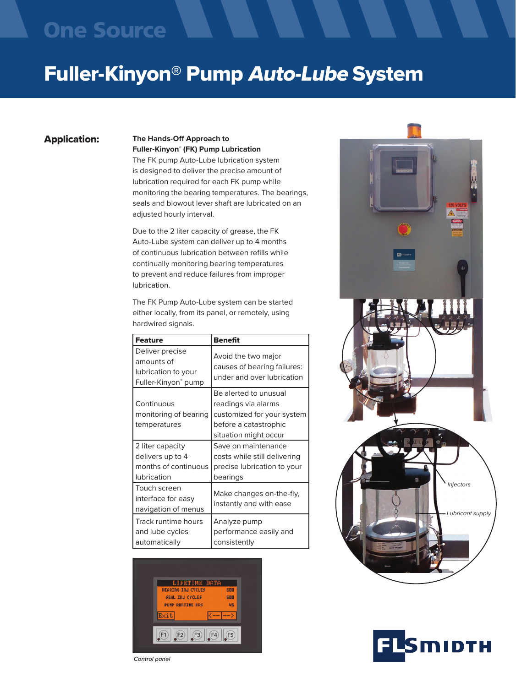## **One Source**

# Fuller-Kinyon® Pump Auto-Lube System

### Application:

#### **The Hands-Off Approach to Fuller-Kinyon**®  **(FK) Pump Lubrication**

The FK pump Auto-Lube lubrication system is designed to deliver the precise amount of lubrication required for each FK pump while monitoring the bearing temperatures. The bearings, seals and blowout lever shaft are lubricated on an adjusted hourly interval.

Due to the 2 liter capacity of grease, the FK Auto-Lube system can deliver up to 4 months of continuous lubrication between refills while continually monitoring bearing temperatures to prevent and reduce failures from improper lubrication.

The FK Pump Auto-Lube system can be started either locally, from its panel, or remotely, using hardwired signals.

| <b>Feature</b>                                                                     | <b>Benefit</b>                                                                                                               |  |
|------------------------------------------------------------------------------------|------------------------------------------------------------------------------------------------------------------------------|--|
| Deliver precise<br>amounts of<br>lubrication to your<br>Fuller-Kinyon® pump        | Avoid the two major<br>causes of bearing failures:<br>under and over lubrication                                             |  |
| Continuous<br>monitoring of bearing<br>temperatures                                | Be alerted to unusual<br>readings via alarms<br>customized for your system<br>before a catastrophic<br>situation might occur |  |
| 2 liter capacity<br>delivers up to 4<br>months of continuous<br><b>lubrication</b> | Save on maintenance<br>costs while still delivering<br>precise lubrication to your<br>bearings                               |  |
| Touch screen<br>interface for easy<br>navigation of menus                          | Make changes on-the-fly,<br>instantly and with ease                                                                          |  |
| Track runtime hours<br>and lube cycles<br>automatically                            | Analyze pump<br>performance easily and<br>consistently                                                                       |  |







*Control panel*